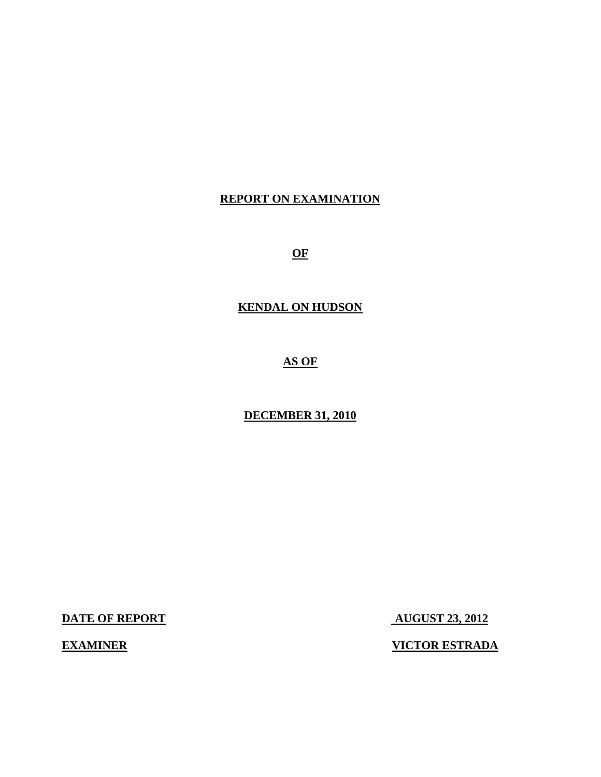#### **REPORT ON EXAMINATION**

**OF** 

#### **KENDAL ON HUDSON**

**AS OF** 

**DECEMBER 31, 2010** 

**DATE OF REPORT AUGUST 23, 2012** 

**EXAMINER VICTOR ESTRADA**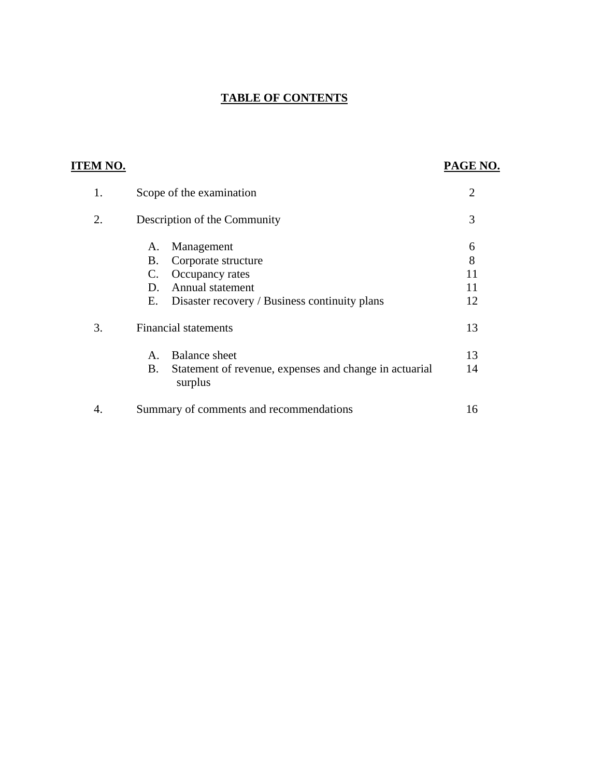### **TABLE OF CONTENTS**

| 'EM NO. |                                                                                                                                                         | PAGE N                   |
|---------|---------------------------------------------------------------------------------------------------------------------------------------------------------|--------------------------|
| 1.      | Scope of the examination                                                                                                                                | $\overline{2}$           |
| 2.      | Description of the Community                                                                                                                            | 3                        |
|         | Management<br>A.<br>Corporate structure<br>В.<br>Occupancy rates<br>C.<br>Annual statement<br>D.<br>Disaster recovery / Business continuity plans<br>Е. | 6<br>8<br>11<br>11<br>12 |
| 3.      | <b>Financial statements</b><br><b>Balance</b> sheet<br>$\mathsf{A}$ .<br>Statement of revenue, expenses and change in actuarial<br>B.<br>surplus        | 13<br>13<br>14           |
| 4.      | Summary of comments and recommendations                                                                                                                 | 16                       |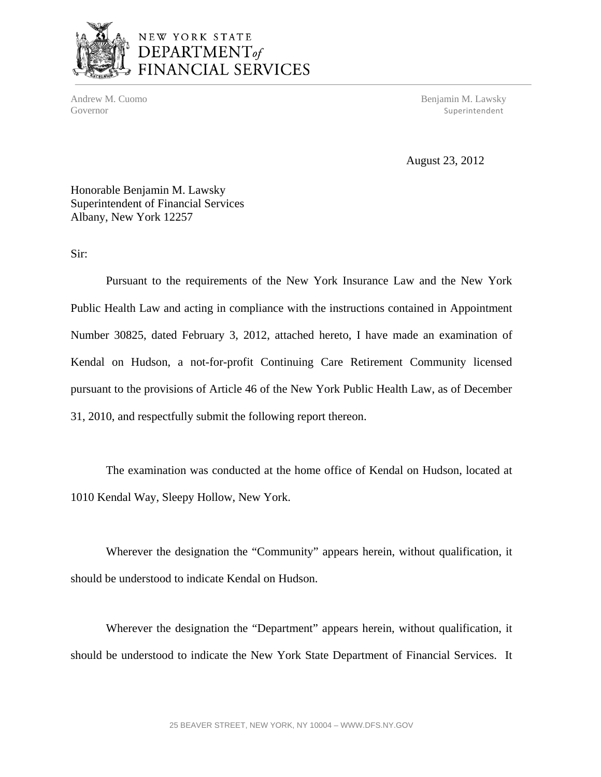

# NEW YORK STATE DEPARTMENT<sub>of</sub><br>FINANCIAL SERVICES

Andrew M. Cuomo Benjamin M. Lawsky Governor Superintendent Superintendent Superintendent Superintendent Superintendent Superintendent Superintendent Superintendent Superintendent Superintendent Superintendent Superintendent Superintendent Superintendent Sup

August 23, 2012

Honorable Benjamin M. Lawsky Superintendent of Financial Services Albany, New York 12257

Sir:

Pursuant to the requirements of the New York Insurance Law and the New York Public Health Law and acting in compliance with the instructions contained in Appointment Number 30825, dated February 3, 2012, attached hereto, I have made an examination of Kendal on Hudson, a not-for-profit Continuing Care Retirement Community licensed pursuant to the provisions of Article 46 of the New York Public Health Law, as of December 31, 2010, and respectfully submit the following report thereon.

The examination was conducted at the home office of Kendal on Hudson, located at 1010 Kendal Way, Sleepy Hollow, New York.

Wherever the designation the "Community" appears herein, without qualification, it should be understood to indicate Kendal on Hudson.

Wherever the designation the "Department" appears herein, without qualification, it should be understood to indicate the New York State Department of Financial Services. It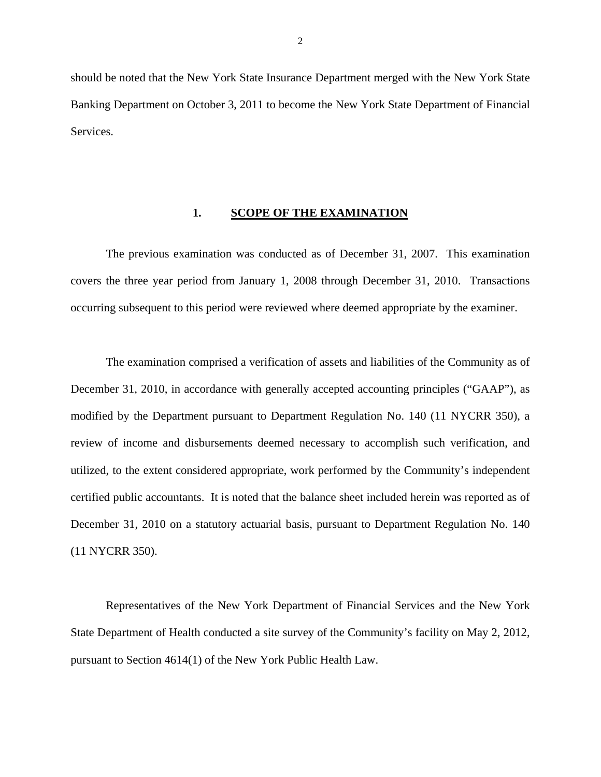<span id="page-3-0"></span>should be noted that the New York State Insurance Department merged with the New York State Banking Department on October 3, 2011 to become the New York State Department of Financial **Services** 

#### **1. SCOPE OF THE EXAMINATION**

The previous examination was conducted as of December 31, 2007. This examination covers the three year period from January 1, 2008 through December 31, 2010. Transactions occurring subsequent to this period were reviewed where deemed appropriate by the examiner.

The examination comprised a verification of assets and liabilities of the Community as of December 31, 2010, in accordance with generally accepted accounting principles ("GAAP"), as modified by the Department pursuant to Department Regulation No. 140 (11 NYCRR 350), a review of income and disbursements deemed necessary to accomplish such verification, and utilized, to the extent considered appropriate, work performed by the Community's independent certified public accountants. It is noted that the balance sheet included herein was reported as of December 31, 2010 on a statutory actuarial basis, pursuant to Department Regulation No. 140 (11 NYCRR 350).

Representatives of the New York Department of Financial Services and the New York State Department of Health conducted a site survey of the Community's facility on May 2, 2012, pursuant to Section 4614(1) of the New York Public Health Law.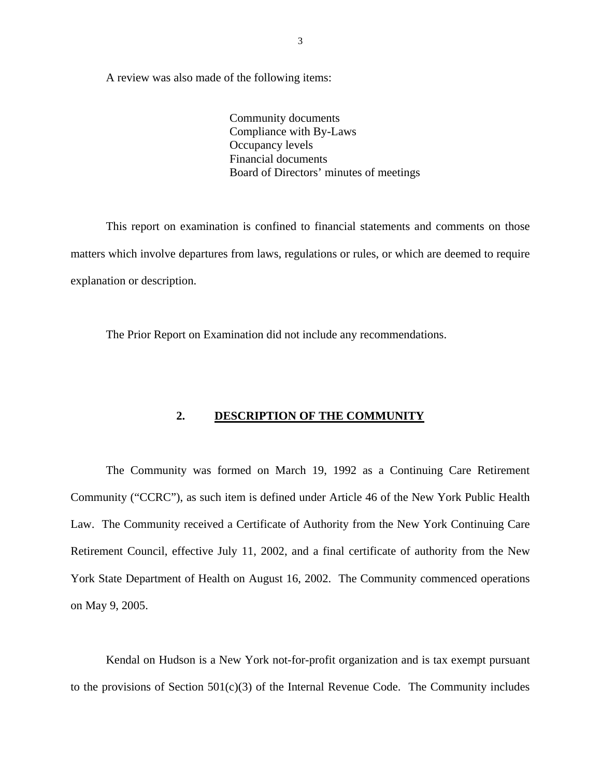<span id="page-4-0"></span>A review was also made of the following items:

Community documents Compliance with By-Laws Occupancy levels Financial documents Board of Directors' minutes of meetings

This report on examination is confined to financial statements and comments on those matters which involve departures from laws, regulations or rules, or which are deemed to require explanation or description.

The Prior Report on Examination did not include any recommendations.

#### **2. DESCRIPTION OF THE COMMUNITY**

The Community was formed on March 19, 1992 as a Continuing Care Retirement Community ("CCRC"), as such item is defined under Article 46 of the New York Public Health Law. The Community received a Certificate of Authority from the New York Continuing Care Retirement Council, effective July 11, 2002, and a final certificate of authority from the New York State Department of Health on August 16, 2002. The Community commenced operations on May 9, 2005.

Kendal on Hudson is a New York not-for-profit organization and is tax exempt pursuant to the provisions of Section  $501(c)(3)$  of the Internal Revenue Code. The Community includes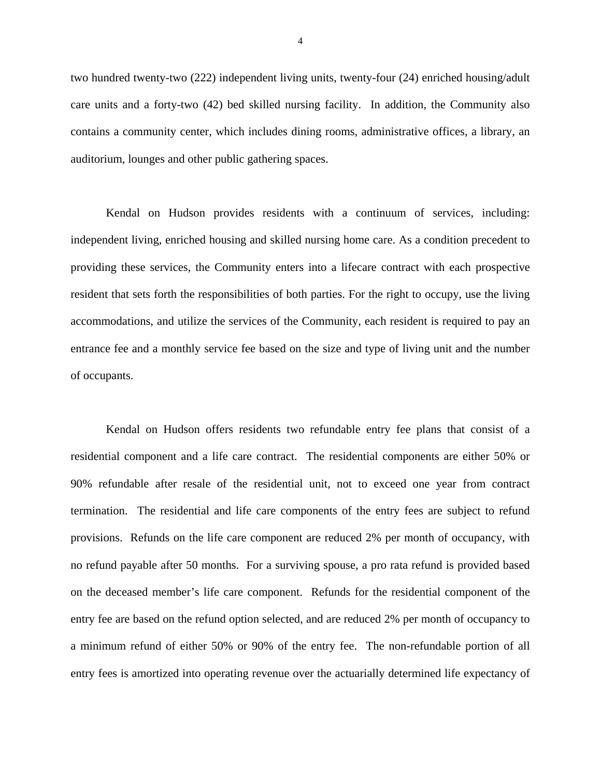two hundred twenty-two (222) independent living units, twenty-four (24) enriched housing/adult care units and a forty-two (42) bed skilled nursing facility. In addition, the Community also contains a community center, which includes dining rooms, administrative offices, a library, an auditorium, lounges and other public gathering spaces.

Kendal on Hudson provides residents with a continuum of services, including: independent living, enriched housing and skilled nursing home care. As a condition precedent to providing these services, the Community enters into a lifecare contract with each prospective resident that sets forth the responsibilities of both parties. For the right to occupy, use the living accommodations, and utilize the services of the Community, each resident is required to pay an entrance fee and a monthly service fee based on the size and type of living unit and the number of occupants.

Kendal on Hudson offers residents two refundable entry fee plans that consist of a residential component and a life care contract. The residential components are either 50% or 90% refundable after resale of the residential unit, not to exceed one year from contract termination. The residential and life care components of the entry fees are subject to refund provisions. Refunds on the life care component are reduced 2% per month of occupancy, with no refund payable after 50 months. For a surviving spouse, a pro rata refund is provided based on the deceased member's life care component. Refunds for the residential component of the entry fee are based on the refund option selected, and are reduced 2% per month of occupancy to a minimum refund of either 50% or 90% of the entry fee. The non-refundable portion of all entry fees is amortized into operating revenue over the actuarially determined life expectancy of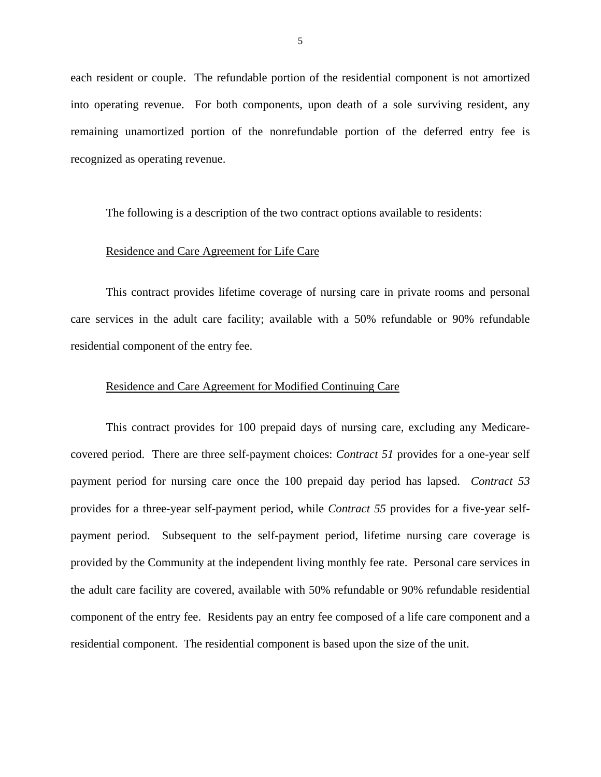each resident or couple. The refundable portion of the residential component is not amortized into operating revenue. For both components, upon death of a sole surviving resident, any remaining unamortized portion of the nonrefundable portion of the deferred entry fee is recognized as operating revenue.

The following is a description of the two contract options available to residents:

#### Residence and Care Agreement for Life Care

This contract provides lifetime coverage of nursing care in private rooms and personal care services in the adult care facility; available with a 50% refundable or 90% refundable residential component of the entry fee.

#### Residence and Care Agreement for Modified Continuing Care

This contract provides for 100 prepaid days of nursing care, excluding any Medicarecovered period. There are three self-payment choices: *Contract 51* provides for a one-year self payment period for nursing care once the 100 prepaid day period has lapsed. *Contract 53*  provides for a three-year self-payment period, while *Contract 55* provides for a five-year selfpayment period. Subsequent to the self-payment period, lifetime nursing care coverage is provided by the Community at the independent living monthly fee rate. Personal care services in the adult care facility are covered, available with 50% refundable or 90% refundable residential component of the entry fee. Residents pay an entry fee composed of a life care component and a residential component. The residential component is based upon the size of the unit.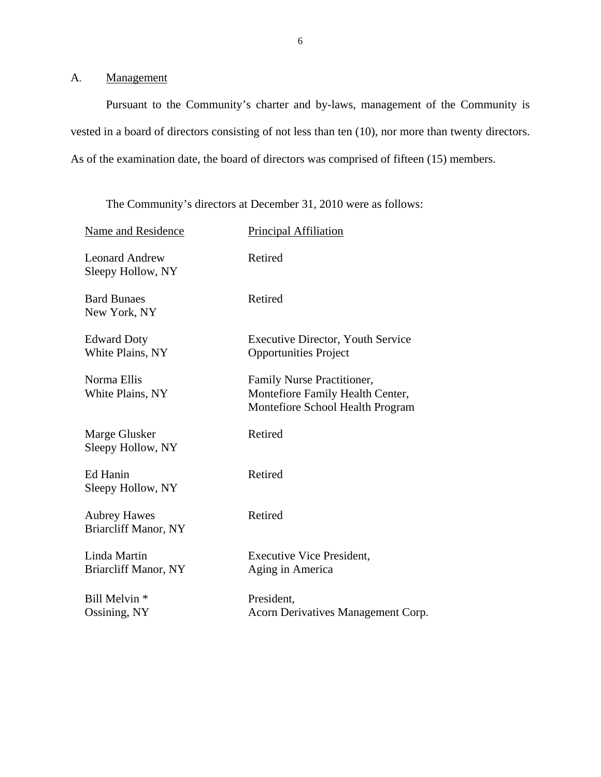<span id="page-7-0"></span>A. Management

Pursuant to the Community's charter and by-laws, management of the Community is vested in a board of directors consisting of not less than ten (10), nor more than twenty directors. As of the examination date, the board of directors was comprised of fifteen (15) members.

The Community's directors at December 31, 2010 were as follows:

| Name and Residence                                 | Principal Affiliation                                                                              |
|----------------------------------------------------|----------------------------------------------------------------------------------------------------|
| <b>Leonard Andrew</b><br>Sleepy Hollow, NY         | Retired                                                                                            |
| <b>Bard Bunaes</b><br>New York, NY                 | Retired                                                                                            |
| <b>Edward Doty</b><br>White Plains, NY             | <b>Executive Director, Youth Service</b><br><b>Opportunities Project</b>                           |
| Norma Ellis<br>White Plains, NY                    | Family Nurse Practitioner,<br>Montefiore Family Health Center,<br>Montefiore School Health Program |
| Marge Glusker<br>Sleepy Hollow, NY                 | Retired                                                                                            |
| Ed Hanin<br>Sleepy Hollow, NY                      | Retired                                                                                            |
| <b>Aubrey Hawes</b><br><b>Briarcliff Manor, NY</b> | Retired                                                                                            |
| Linda Martin<br><b>Briarcliff Manor, NY</b>        | <b>Executive Vice President,</b><br>Aging in America                                               |
| Bill Melvin *<br>Ossining, NY                      | President,<br>Acorn Derivatives Management Corp.                                                   |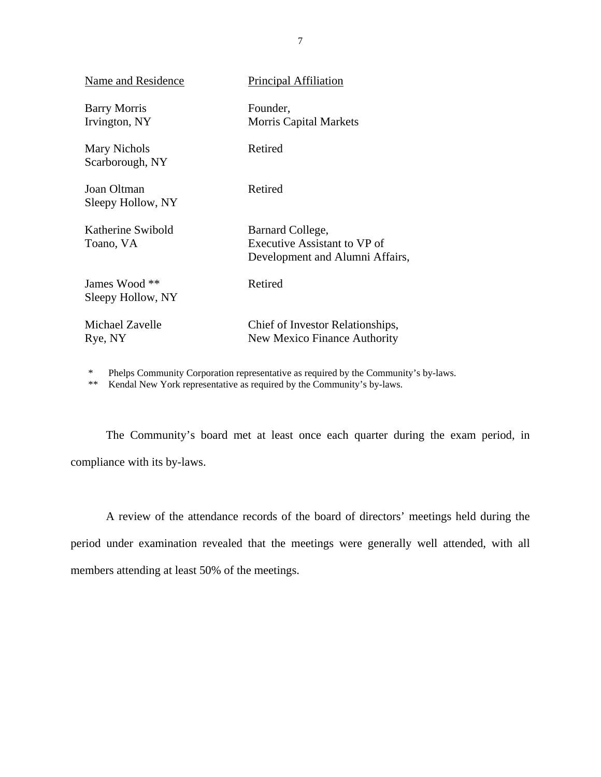| Name and Residence                   | <b>Principal Affiliation</b>                                                        |
|--------------------------------------|-------------------------------------------------------------------------------------|
| <b>Barry Morris</b><br>Irvington, NY | Founder,<br><b>Morris Capital Markets</b>                                           |
| Mary Nichols<br>Scarborough, NY      | Retired                                                                             |
| Joan Oltman<br>Sleepy Hollow, NY     | Retired                                                                             |
| Katherine Swibold<br>Toano, VA       | Barnard College,<br>Executive Assistant to VP of<br>Development and Alumni Affairs, |
| James Wood **<br>Sleepy Hollow, NY   | Retired                                                                             |
| Michael Zavelle<br>Rye, NY           | Chief of Investor Relationships,<br>New Mexico Finance Authority                    |

\* Phelps Community Corporation representative as required by the Community's by-laws.

\*\* Kendal New York representative as required by the Community's by-laws.

The Community's board met at least once each quarter during the exam period, in compliance with its by-laws.

A review of the attendance records of the board of directors' meetings held during the period under examination revealed that the meetings were generally well attended, with all members attending at least 50% of the meetings.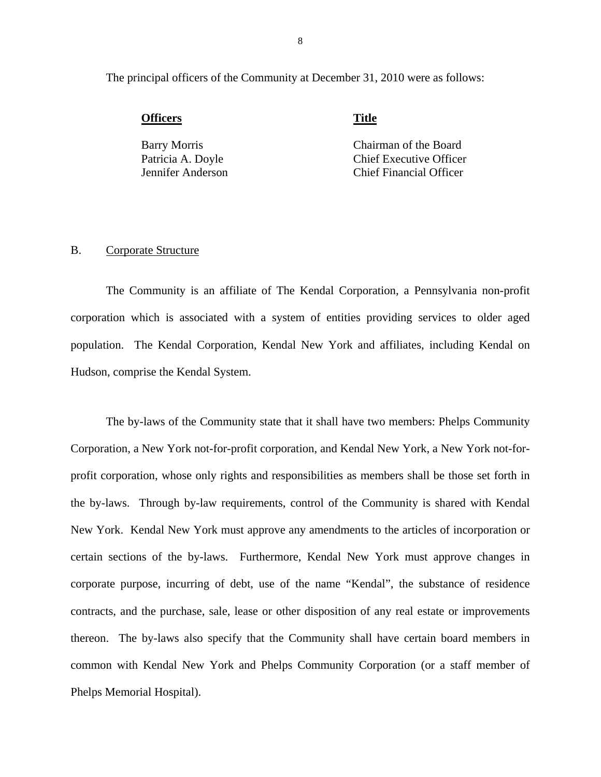<span id="page-9-0"></span>The principal officers of the Community at December 31, 2010 were as follows:

**Officers** Title

Barry Morris Chairman of the Board Patricia A. Doyle Chief Executive Officer Jennifer Anderson Chief Financial Officer

#### B. Corporate Structure

The Community is an affiliate of The Kendal Corporation, a Pennsylvania non-profit corporation which is associated with a system of entities providing services to older aged population. The Kendal Corporation, Kendal New York and affiliates, including Kendal on Hudson, comprise the Kendal System.

The by-laws of the Community state that it shall have two members: Phelps Community Corporation, a New York not-for-profit corporation, and Kendal New York, a New York not-forprofit corporation, whose only rights and responsibilities as members shall be those set forth in the by-laws. Through by-law requirements, control of the Community is shared with Kendal New York. Kendal New York must approve any amendments to the articles of incorporation or certain sections of the by-laws. Furthermore, Kendal New York must approve changes in corporate purpose, incurring of debt, use of the name "Kendal", the substance of residence contracts, and the purchase, sale, lease or other disposition of any real estate or improvements thereon. The by-laws also specify that the Community shall have certain board members in common with Kendal New York and Phelps Community Corporation (or a staff member of Phelps Memorial Hospital).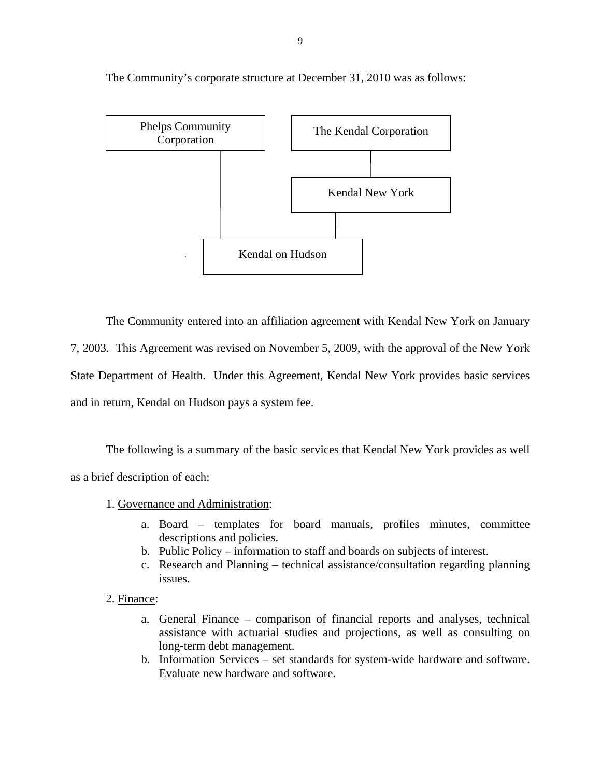

The Community's corporate structure at December 31, 2010 was as follows:

The Community entered into an affiliation agreement with Kendal New York on January 7, 2003. This Agreement was revised on November 5, 2009, with the approval of the New York State Department of Health. Under this Agreement, Kendal New York provides basic services and in return, Kendal on Hudson pays a system fee.

The following is a summary of the basic services that Kendal New York provides as well as a brief description of each:

1. Governance and Administration:

- a. Board templates for board manuals, profiles minutes, committee descriptions and policies.
- b. Public Policy information to staff and boards on subjects of interest.
- c. Research and Planning technical assistance/consultation regarding planning issues.
- 2. Finance:
	- a. General Finance comparison of financial reports and analyses, technical assistance with actuarial studies and projections, as well as consulting on long-term debt management.
	- b. Information Services set standards for system-wide hardware and software. Evaluate new hardware and software.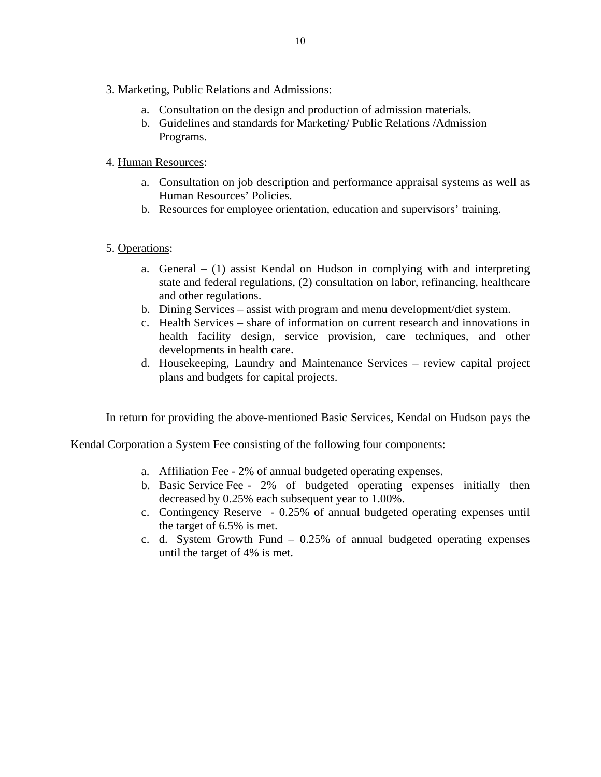- 3. Marketing, Public Relations and Admissions:
	- a. Consultation on the design and production of admission materials.
	- b. Guidelines and standards for Marketing/ Public Relations /Admission Programs.

#### 4. Human Resources:

- a. Consultation on job description and performance appraisal systems as well as Human Resources' Policies.
- b. Resources for employee orientation, education and supervisors' training.

#### 5. Operations:

- a. General  $(1)$  assist Kendal on Hudson in complying with and interpreting state and federal regulations, (2) consultation on labor, refinancing, healthcare and other regulations.
- b. Dining Services assist with program and menu development/diet system.
- c. Health Services share of information on current research and innovations in health facility design, service provision, care techniques, and other developments in health care.
- d. Housekeeping, Laundry and Maintenance Services review capital project plans and budgets for capital projects.

In return for providing the above-mentioned Basic Services, Kendal on Hudson pays the

Kendal Corporation a System Fee consisting of the following four components:

- a. Affiliation Fee 2% of annual budgeted operating expenses.
- b. Basic Service Fee 2% of budgeted operating expenses initially then decreased by 0.25% each subsequent year to 1.00%.
- c. Contingency Reserve 0.25% of annual budgeted operating expenses until the target of 6.5% is met.
- c. d. System Growth Fund 0.25% of annual budgeted operating expenses until the target of 4% is met.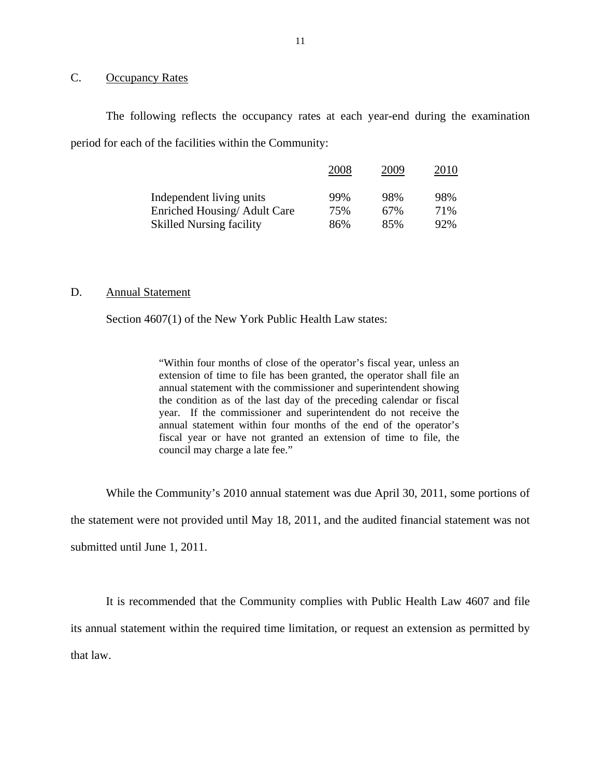#### <span id="page-12-0"></span>C. Occupancy Rates

The following reflects the occupancy rates at each year-end during the examination period for each of the facilities within the Community:

|                                 | 2008 | 2009 | 2010 |
|---------------------------------|------|------|------|
| Independent living units        | 99%  | 98%  | 98%  |
| Enriched Housing/Adult Care     | 75%  | 67%  | 71%  |
| <b>Skilled Nursing facility</b> | 86%  | 85%  | 92%  |

#### D. Annual Statement

Section 4607(1) of the New York Public Health Law states:

"Within four months of close of the operator's fiscal year, unless an extension of time to file has been granted, the operator shall file an annual statement with the commissioner and superintendent showing the condition as of the last day of the preceding calendar or fiscal year. If the commissioner and superintendent do not receive the annual statement within four months of the end of the operator's fiscal year or have not granted an extension of time to file, the council may charge a late fee."

While the Community's 2010 annual statement was due April 30, 2011, some portions of

the statement were not provided until May 18, 2011, and the audited financial statement was not

submitted until June 1, 2011.

It is recommended that the Community complies with Public Health Law 4607 and file its annual statement within the required time limitation, or request an extension as permitted by that law.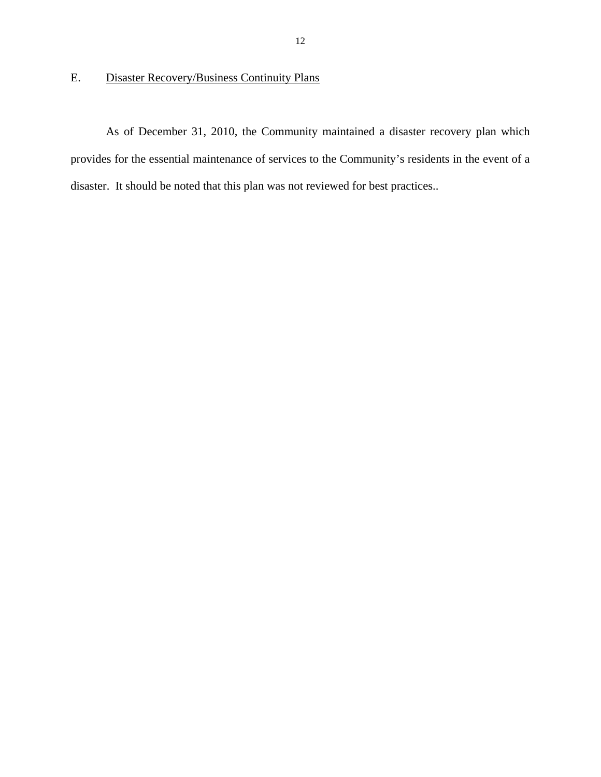### <span id="page-13-0"></span>E. Disaster Recovery/Business Continuity Plans

As of December 31, 2010, the Community maintained a disaster recovery plan which provides for the essential maintenance of services to the Community's residents in the event of a disaster. It should be noted that this plan was not reviewed for best practices..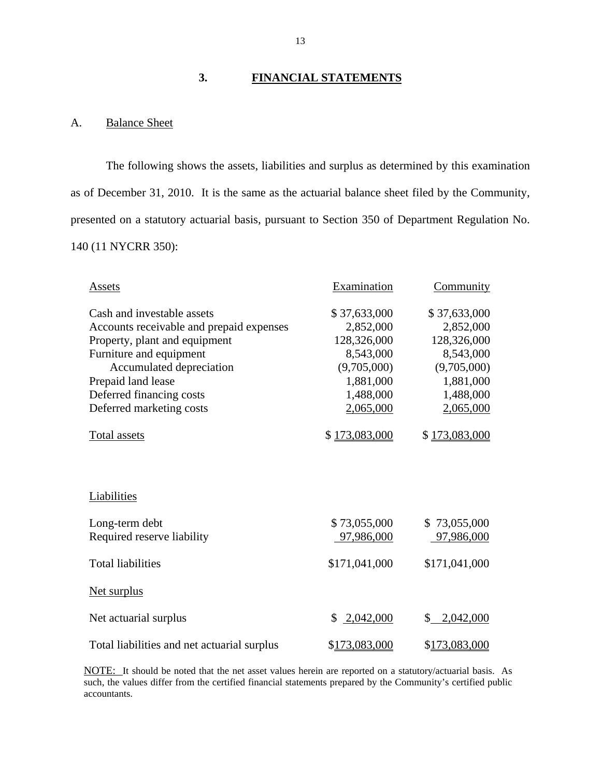#### **3. FINANCIAL STATEMENTS**

#### A. Balance Sheet

The following shows the assets, liabilities and surplus as determined by this examination as of December 31, 2010. It is the same as the actuarial balance sheet filed by the Community, presented on a statutory actuarial basis, pursuant to Section 350 of Department Regulation No. 140 (11 NYCRR 350):

| Assets                                      | Examination     | <b>Community</b> |  |  |
|---------------------------------------------|-----------------|------------------|--|--|
| Cash and investable assets                  | \$37,633,000    | \$37,633,000     |  |  |
| Accounts receivable and prepaid expenses    | 2,852,000       | 2,852,000        |  |  |
| Property, plant and equipment               | 128,326,000     | 128,326,000      |  |  |
| Furniture and equipment                     | 8,543,000       | 8,543,000        |  |  |
| Accumulated depreciation                    | (9,705,000)     | (9,705,000)      |  |  |
| Prepaid land lease                          | 1,881,000       | 1,881,000        |  |  |
| Deferred financing costs                    | 1,488,000       | 1,488,000        |  |  |
| Deferred marketing costs                    | 2,065,000       | 2,065,000        |  |  |
| Total assets                                | \$173,083,000   | \$173,083,000    |  |  |
| Liabilities                                 |                 |                  |  |  |
| Long-term debt                              | \$73,055,000    | \$73,055,000     |  |  |
| Required reserve liability                  | 97,986,000      | 97,986,000       |  |  |
| <b>Total liabilities</b>                    | \$171,041,000   | \$171,041,000    |  |  |
| <b>Net surplus</b>                          |                 |                  |  |  |
| Net actuarial surplus                       | 2,042,000<br>\$ | 2,042,000<br>\$  |  |  |
| Total liabilities and net actuarial surplus | \$173,083,000   | \$173,083,000    |  |  |

 accountants. NOTE: It should be noted that the net asset values herein are reported on a statutory/actuarial basis. As such, the values differ from the certified financial statements prepared by the Community's certified public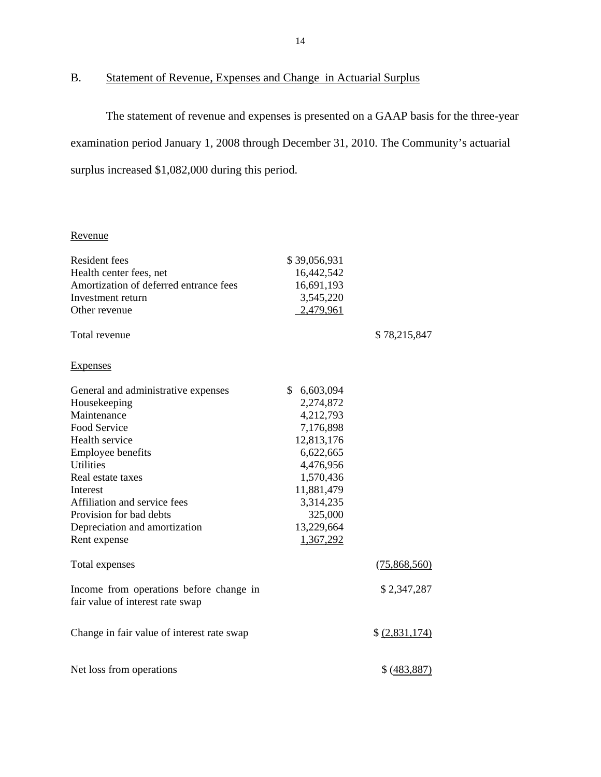# B. Statement of Revenue, Expenses and Change in Actuarial Surplus

The statement of revenue and expenses is presented on a GAAP basis for the three-year examination period January 1, 2008 through December 31, 2010. The Community's actuarial surplus increased \$1,082,000 during this period.

| Revenue                                    |                 |                |
|--------------------------------------------|-----------------|----------------|
| <b>Resident fees</b>                       | \$39,056,931    |                |
| Health center fees, net                    | 16,442,542      |                |
| Amortization of deferred entrance fees     | 16,691,193      |                |
| Investment return                          | 3,545,220       |                |
| Other revenue                              | 2,479,961       |                |
| Total revenue                              |                 | \$78,215,847   |
| <b>Expenses</b>                            |                 |                |
| General and administrative expenses        | \$<br>6,603,094 |                |
| Housekeeping                               | 2,274,872       |                |
| Maintenance                                | 4,212,793       |                |
| <b>Food Service</b>                        | 7,176,898       |                |
| Health service                             | 12,813,176      |                |
| <b>Employee benefits</b>                   | 6,622,665       |                |
| Utilities                                  | 4,476,956       |                |
| Real estate taxes                          | 1,570,436       |                |
| Interest                                   | 11,881,479      |                |
| Affiliation and service fees               | 3,314,235       |                |
| Provision for bad debts                    | 325,000         |                |
| Depreciation and amortization              | 13,229,664      |                |
| Rent expense                               | 1,367,292       |                |
| Total expenses                             |                 | (75,868,560)   |
| Income from operations before change in    |                 | \$2,347,287    |
| fair value of interest rate swap           |                 |                |
| Change in fair value of interest rate swap |                 | \$ (2,831,174) |
| Net loss from operations                   |                 | \$ (483, 887)  |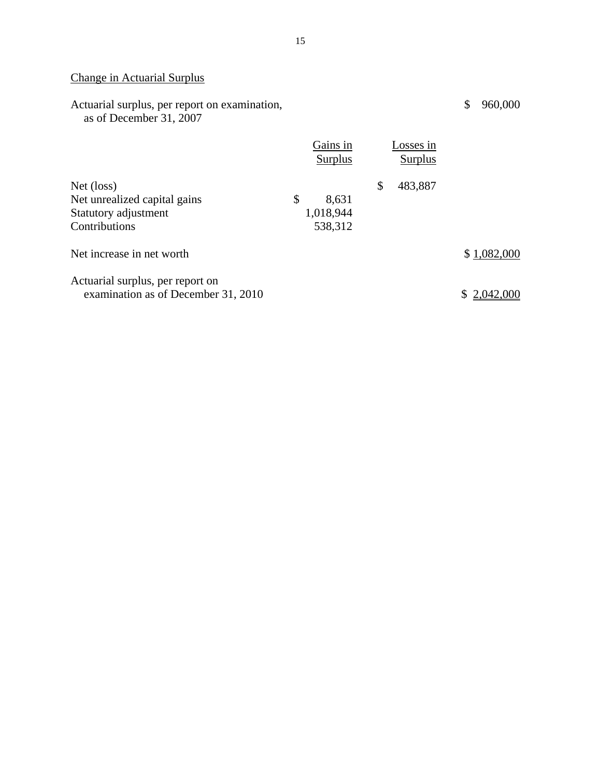# Change in Actuarial Surplus

| Actuarial surplus, per report on examination,<br>as of December 31, 2007            |                                     |                      | \$<br>960,000 |
|-------------------------------------------------------------------------------------|-------------------------------------|----------------------|---------------|
|                                                                                     | Gains in<br>Surplus                 | Losses in<br>Surplus |               |
| Net (loss)<br>Net unrealized capital gains<br>Statutory adjustment<br>Contributions | \$<br>8,631<br>1,018,944<br>538,312 | \$<br>483,887        |               |
| Net increase in net worth                                                           |                                     |                      | \$1,082,000   |
| Actuarial surplus, per report on<br>examination as of December 31, 2010             |                                     |                      | 2.042         |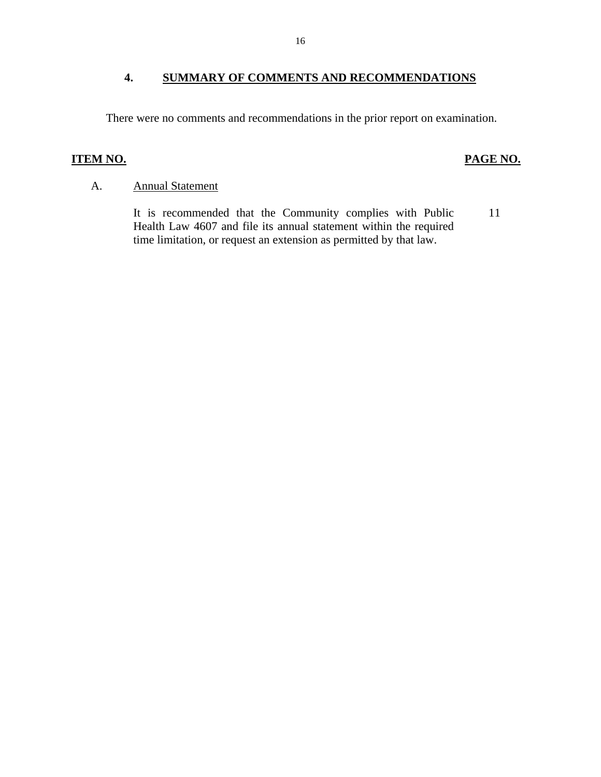#### <span id="page-17-0"></span>**4. SUMMARY OF COMMENTS AND RECOMMENDATIONS**

There were no comments and recommendations in the prior report on examination.

#### **ITEM NO.**

#### **PAGE NO.**

#### A. Annual Statement

It is recommended that the Community complies with Public 11 Health Law 4607 and file its annual statement within the required time limitation, or request an extension as permitted by that law.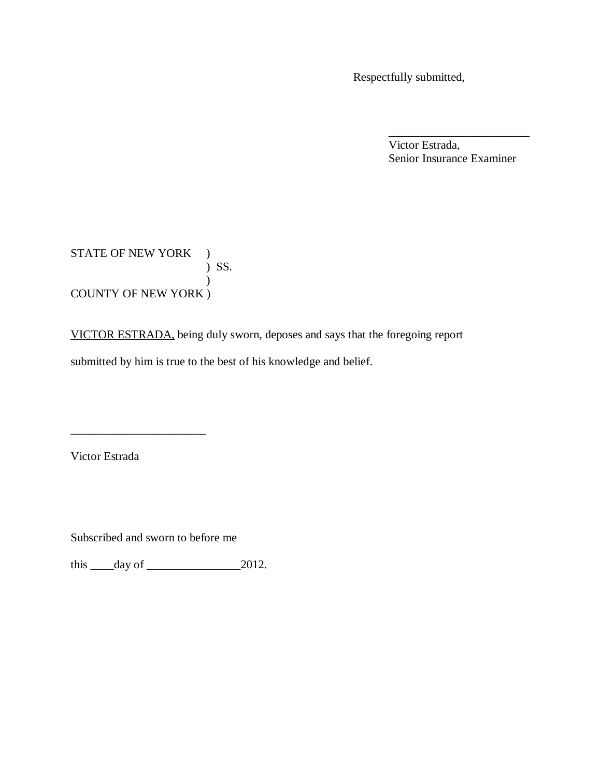Respectfully submitted,

 Victor Estrada, Senior Insurance Examiner

\_\_\_\_\_\_\_\_\_\_\_\_\_\_\_\_\_\_\_\_\_\_\_\_

STATE OF NEW YORK ) ) SS.  $\mathcal{L}$ COUNTY OF NEW YORK )

 VICTOR ESTRADA, being duly sworn, deposes and says that the foregoing report submitted by him is true to the best of his knowledge and belief.

Victor Estrada

Subscribed and sworn to before me

\_\_\_\_\_\_\_\_\_\_\_\_\_\_\_\_\_\_\_\_\_\_\_

this  $\_\_\_day\$  of  $\_\_\_\_\_\_2$  2012.